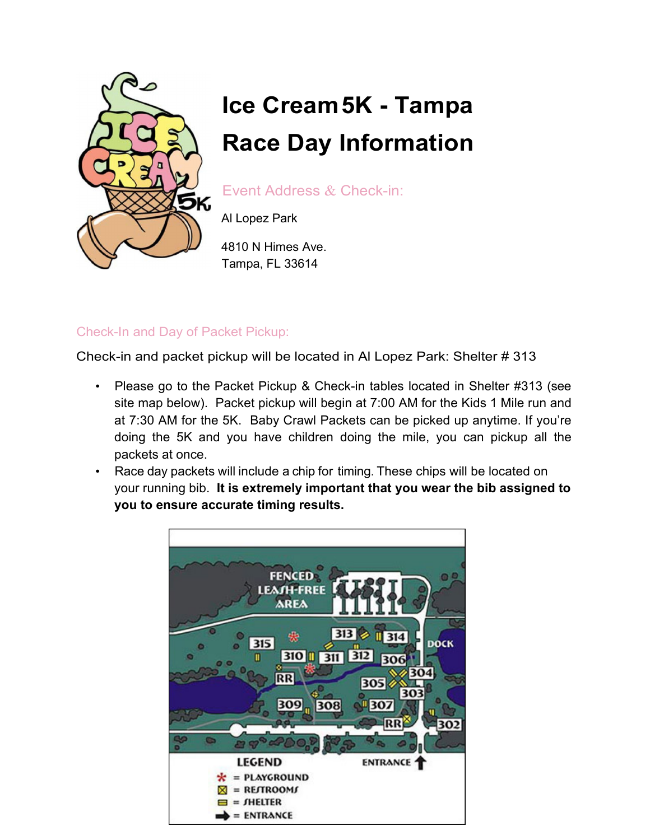

# **Ice Cream 5K - Tampa Race Day Information**

Event Address & Check-in:

Al Lopez Park

4810 N Himes Ave. Tampa, FL 33614

## Check-In and Day of Packet Pickup:

Check-in and packet pickup will be located in Al Lopez Park: Shelter # 313

- Please go to the Packet Pickup & Check-in tables located in Shelter #313 (see site map below). Packet pickup will begin at 7:00 AM for the Kids 1 Mile run and at 7:30 AM for the 5K. Baby Crawl Packets can be picked up anytime. If you're doing the 5K and you have children doing the mile, you can pickup all the packets at once.
- Race day packets will include a chip for timing. These chips will be located on your running bib. **It is extremely important that you wear the bib assigned to you to ensure accurate timing results.**

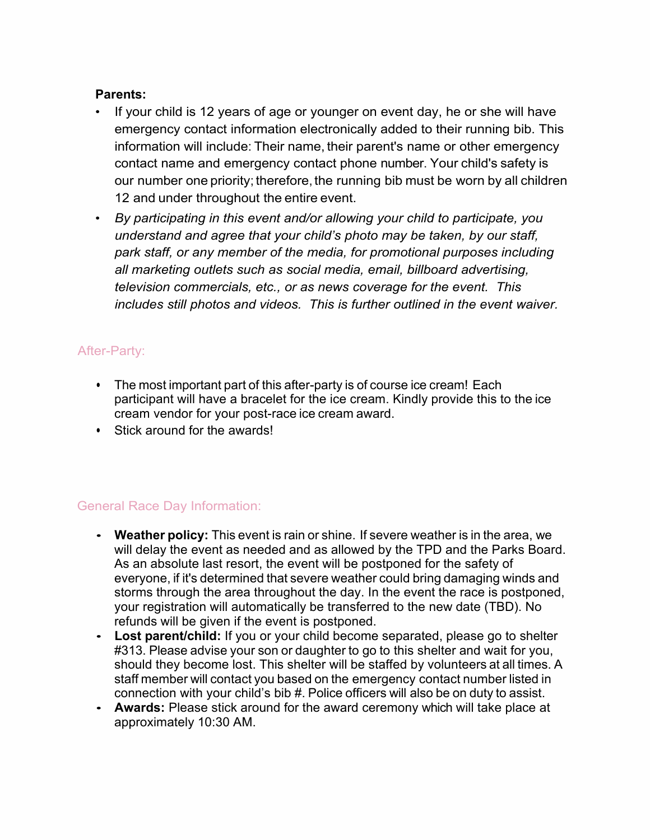### **Parents:**

- If your child is 12 years of age or younger on event day, he or she will have emergency contact information electronically added to their running bib. This information will include: Their name, their parent's name or other emergency contact name and emergency contact phone number. Your child's safety is our number one priority; therefore, the running bib must be worn by all children 12 and under throughout the entire event.
- *By participating in this event and/or allowing your child to participate, you understand and agree that your child's photo may be taken, by our staff, park staff, or any member of the media, for promotional purposes including all marketing outlets such as social media, email, billboard advertising, television commercials, etc., or as news coverage for the event. This includes still photos and videos. This is further outlined in the event waiver.*

### After-Party:

- The most important part of this after-party is of course ice cream! Each participant will have a bracelet for the ice cream. Kindly provide this to the ice cream vendor for your post-race ice cream award.
- Stick around for the awards!

## General Race Day Information:

- **Weather policy:** This event is rain or shine. If severe weather is in the area, we will delay the event as needed and as allowed by the TPD and the Parks Board. As an absolute last resort, the event will be postponed for the safety of everyone, if it's determined that severe weather could bring damaging winds and storms through the area throughout the day. In the event the race is postponed, your registration will automatically be transferred to the new date (TBD). No refunds will be given if the event is postponed.
- **Lost parent/child:** If you or your child become separated, please go to shelter #313. Please advise your son or daughter to go to this shelter and wait for you, should they become lost. This shelter will be staffed by volunteers at all times. A staff member will contact you based on the emergency contact number listed in connection with your child's bib #. Police officers will also be on duty to assist.
- **Awards:** Please stick around for the award ceremony which will take place at approximately 10:30 AM.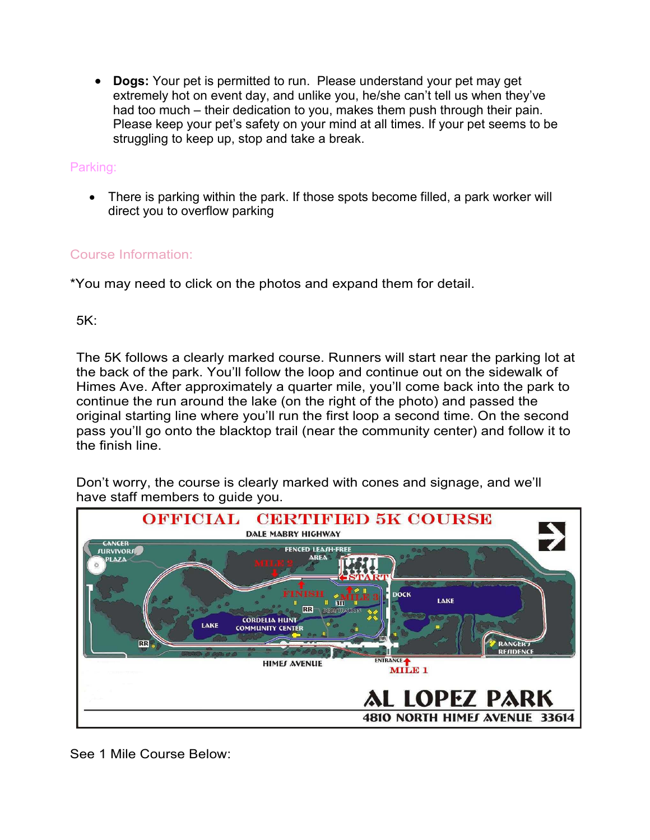• **Dogs:** Your pet is permitted to run. Please understand your pet may get extremely hot on event day, and unlike you, he/she can't tell us when they've had too much – their dedication to you, makes them push through their pain. Please keep your pet's safety on your mind at all times. If your pet seems to be struggling to keep up, stop and take a break.

#### Parking:

• There is parking within the park. If those spots become filled, a park worker will direct you to overflow parking

### Course Information:

\*You may need to click on the photos and expand them for detail.

5K:

The 5K follows a clearly marked course. Runners will start near the parking lot at the back of the park. You'll follow the loop and continue out on the sidewalk of Himes Ave. After approximately a quarter mile, you'll come back into the park to continue the run around the lake (on the right of the photo) and passed the original starting line where you'll run the first loop a second time. On the second pass you'll go onto the blacktop trail (near the community center) and follow it to the finish line.

Don't worry, the course is clearly marked with cones and signage, and we'll have staff members to guide you.



See 1 Mile Course Below: